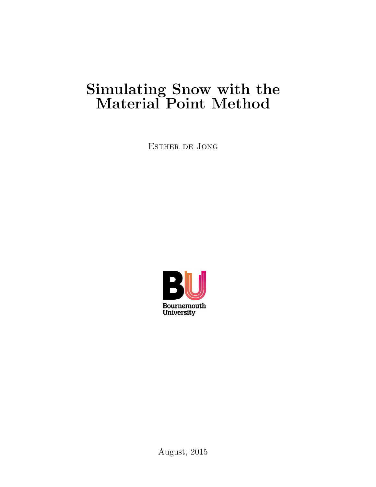# <span id="page-0-1"></span><span id="page-0-0"></span>Simulating Snow with the Material Point Method

Esther de Jong



August, 2015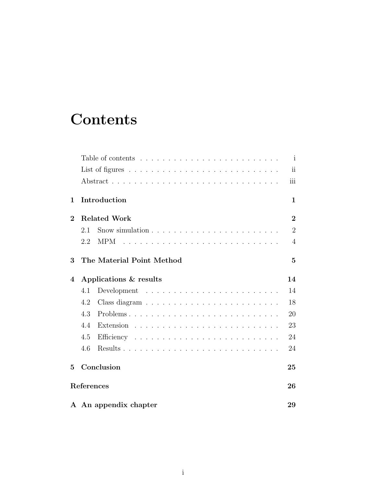# <span id="page-1-0"></span>**Contents**

|                 |                           | $\mathbf{i}$   |
|-----------------|---------------------------|----------------|
|                 |                           | ii             |
|                 |                           | iii            |
| $\mathbf{1}$    | Introduction              | $\mathbf{1}$   |
| $\overline{2}$  | <b>Related Work</b>       | $\overline{2}$ |
|                 | 2.1                       | $\overline{2}$ |
|                 | 2.2<br><b>MPM</b>         | $\overline{4}$ |
| 3               | The Material Point Method | $\overline{5}$ |
| 4               | Applications & results    | 14             |
|                 | 4.1                       | 14             |
|                 | 4.2                       | 18             |
|                 | 4.3                       | 20             |
|                 | 4.4<br>Extension          | 23             |
|                 | 4.5                       | 24             |
|                 | 4.6                       | 24             |
| $5\overline{)}$ | Conclusion                | 25             |
|                 | References                | 26             |
|                 | A An appendix chapter     | 29             |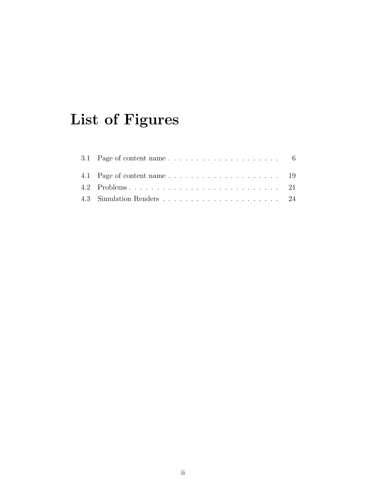# List of Figures

| 3.1 Page of content name $\ldots \ldots \ldots \ldots \ldots \ldots \ldots$ 6 |  |
|-------------------------------------------------------------------------------|--|
|                                                                               |  |
|                                                                               |  |
|                                                                               |  |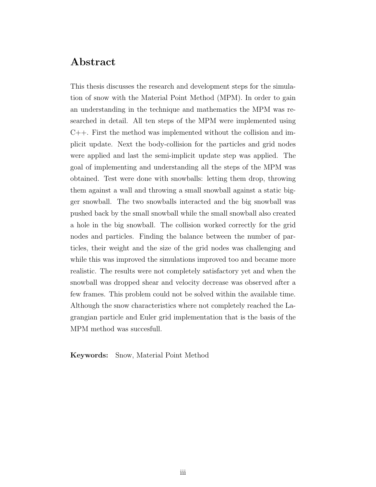#### <span id="page-3-0"></span>Abstract

This thesis discusses the research and development steps for the simulation of snow with the Material Point Method (MPM). In order to gain an understanding in the technique and mathematics the MPM was researched in detail. All ten steps of the MPM were implemented using C++. First the method was implemented without the collision and implicit update. Next the body-collision for the particles and grid nodes were applied and last the semi-implicit update step was applied. The goal of implementing and understanding all the steps of the MPM was obtained. Test were done with snowballs: letting them drop, throwing them against a wall and throwing a small snowball against a static bigger snowball. The two snowballs interacted and the big snowball was pushed back by the small snowball while the small snowball also created a hole in the big snowball. The collision worked correctly for the grid nodes and particles. Finding the balance between the number of particles, their weight and the size of the grid nodes was challenging and while this was improved the simulations improved too and became more realistic. The results were not completely satisfactory yet and when the snowball was dropped shear and velocity decrease was observed after a few frames. This problem could not be solved within the available time. Although the snow characteristics where not completely reached the Lagrangian particle and Euler grid implementation that is the basis of the MPM method was succesfull.

Keywords: Snow, Material Point Method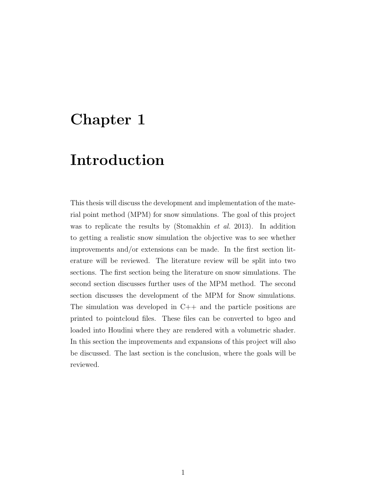### <span id="page-4-0"></span>Chapter 1

### Introduction

This thesis will discuss the development and implementation of the material point method (MPM) for snow simulations. The goal of this project was to replicate the results by [\(Stomakhin](#page-31-0) *et al.* [2013\)](#page-31-0). In addition to getting a realistic snow simulation the objective was to see whether improvements and/or extensions can be made. In the first section literature will be reviewed. The literature review will be split into two sections. The first section being the literature on snow simulations. The second section discusses further uses of the MPM method. The second section discusses the development of the MPM for Snow simulations. The simulation was developed in  $C++$  and the particle positions are printed to pointcloud files. These files can be converted to bgeo and loaded into Houdini where they are rendered with a volumetric shader. In this section the improvements and expansions of this project will also be discussed. The last section is the conclusion, where the goals will be reviewed.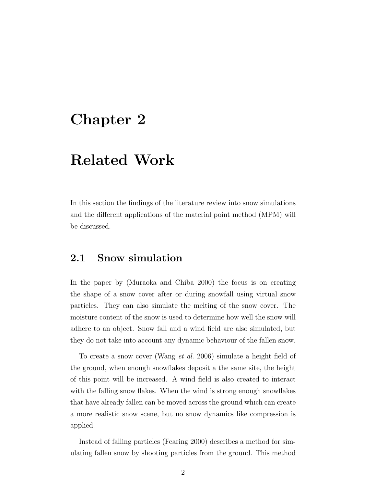### <span id="page-5-0"></span>Chapter 2

### Related Work

In this section the findings of the literature review into snow simulations and the different applications of the material point method (MPM) will be discussed.

#### <span id="page-5-1"></span>2.1 Snow simulation

In the paper by [\(Muraoka and Chiba](#page-30-0) [2000\)](#page-30-0) the focus is on creating the shape of a snow cover after or during snowfall using virtual snow particles. They can also simulate the melting of the snow cover. The moisture content of the snow is used to determine how well the snow will adhere to an object. Snow fall and a wind field are also simulated, but they do not take into account any dynamic behaviour of the fallen snow.

To create a snow cover [\(Wang](#page-31-1) et al. [2006\)](#page-31-1) simulate a height field of the ground, when enough snowflakes deposit a the same site, the height of this point will be increased. A wind field is also created to interact with the falling snow flakes. When the wind is strong enough snowflakes that have already fallen can be moved across the ground which can create a more realistic snow scene, but no snow dynamics like compression is applied.

Instead of falling particles [\(Fearing](#page-30-1) [2000\)](#page-30-1) describes a method for simulating fallen snow by shooting particles from the ground. This method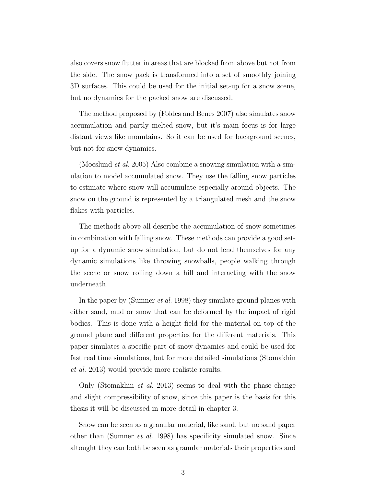also covers snow flutter in areas that are blocked from above but not from the side. The snow pack is transformed into a set of smoothly joining 3D surfaces. This could be used for the initial set-up for a snow scene, but no dynamics for the packed snow are discussed.

The method proposed by [\(Foldes and Benes](#page-30-2) [2007\)](#page-30-2) also simulates snow accumulation and partly melted snow, but it's main focus is for large distant views like mountains. So it can be used for background scenes, but not for snow dynamics.

[\(Moeslund](#page-30-3) et al. [2005\)](#page-30-3) Also combine a snowing simulation with a simulation to model accumulated snow. They use the falling snow particles to estimate where snow will accumulate especially around objects. The snow on the ground is represented by a triangulated mesh and the snow flakes with particles.

The methods above all describe the accumulation of snow sometimes in combination with falling snow. These methods can provide a good setup for a dynamic snow simulation, but do not lend themselves for any dynamic simulations like throwing snowballs, people walking through the scene or snow rolling down a hill and interacting with the snow underneath.

In the paper by [\(Sumner](#page-31-2) *et al.* [1998\)](#page-31-2) they simulate ground planes with either sand, mud or snow that can be deformed by the impact of rigid bodies. This is done with a height field for the material on top of the ground plane and different properties for the different materials. This paper simulates a specific part of snow dynamics and could be used for fast real time simulations, but for more detailed simulations [\(Stomakhin](#page-31-0) [et al.](#page-31-0) [2013\)](#page-31-0) would provide more realistic results.

Only [\(Stomakhin](#page-31-0) et al. [2013\)](#page-31-0) seems to deal with the phase change and slight compressibility of snow, since this paper is the basis for this thesis it will be discussed in more detail in chapter 3.

Snow can be seen as a granular material, like sand, but no sand paper other than [\(Sumner](#page-31-2) et al. [1998\)](#page-31-2) has specificity simulated snow. Since altought they can both be seen as granular materials their properties and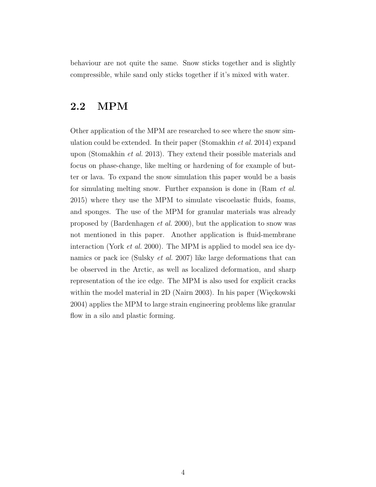behaviour are not quite the same. Snow sticks together and is slightly compressible, while sand only sticks together if it's mixed with water.

#### <span id="page-7-0"></span>2.2 MPM

Other application of the MPM are researched to see where the snow sim-ulation could be extended. In their paper [\(Stomakhin](#page-31-3) *et al.* [2014\)](#page-31-3) expand upon [\(Stomakhin](#page-31-0) et al. [2013\)](#page-31-0). They extend their possible materials and focus on phase-change, like melting or hardening of for example of butter or lava. To expand the snow simulation this paper would be a basis for simulating melting snow. Further expansion is done in (Ram [et al.](#page-30-4) [2015\)](#page-30-4) where they use the MPM to simulate viscoelastic fluids, foams, and sponges. The use of the MPM for granular materials was already proposed by [\(Bardenhagen](#page-30-5) et al. [2000\)](#page-30-5), but the application to snow was not mentioned in this paper. Another application is fluid-membrane interaction (York [et al.](#page-31-4) [2000\)](#page-31-4). The MPM is applied to model sea ice dynamics or pack ice [\(Sulsky](#page-31-5) et al. [2007\)](#page-31-5) like large deformations that can be observed in the Arctic, as well as localized deformation, and sharp representation of the ice edge. The MPM is also used for explicit cracks within the model material in  $2D$  [\(Nairn](#page-30-6) [2003\)](#page-30-6). In his paper (Więckowski [2004\)](#page-31-6) applies the MPM to large strain engineering problems like granular flow in a silo and plastic forming.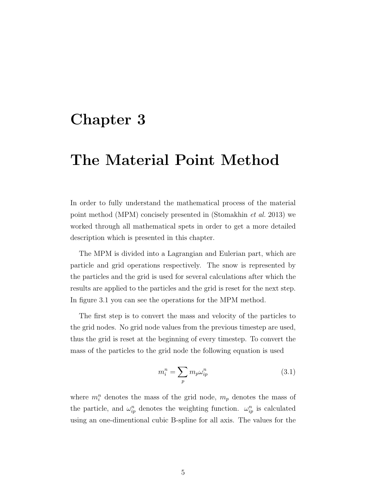### <span id="page-8-0"></span>Chapter 3

# The Material Point Method

In order to fully understand the mathematical process of the material point method (MPM) concisely presented in [\(Stomakhin](#page-31-0) et al. [2013\)](#page-31-0) we worked through all mathematical spets in order to get a more detailed description which is presented in this chapter.

The MPM is divided into a Lagrangian and Eulerian part, which are particle and grid operations respectively. The snow is represented by the particles and the grid is used for several calculations after which the results are applied to the particles and the grid is reset for the next step. In figure [3.1](#page-9-0) you can see the operations for the MPM method.

The first step is to convert the mass and velocity of the particles to the grid nodes. No grid node values from the previous timestep are used, thus the grid is reset at the beginning of every timestep. To convert the mass of the particles to the grid node the following equation is used

<span id="page-8-1"></span>
$$
m_i^n = \sum_p m_p \omega_{ip}^n \tag{3.1}
$$

where  $m_i^n$  denotes the mass of the grid node,  $m_p$  denotes the mass of the particle, and  $\omega_{ip}^n$  denotes the weighting function.  $\omega_{ip}^n$  is calculated using an one-dimentional cubic B-spline for all axis. The values for the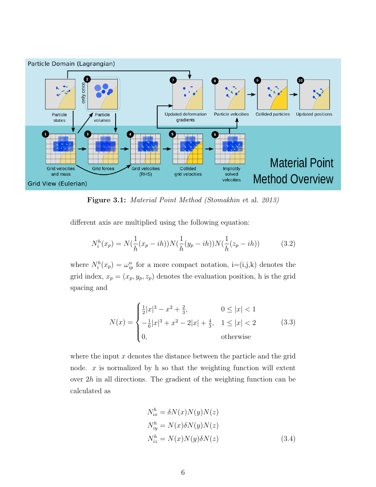<span id="page-9-0"></span>

Figure 3.1: Material Point Method [\(Stomakhin](#page-31-0) et al. [2013\)](#page-31-0)

different axis are multiplied using the following equation:

$$
N_i^h(x_p) = N(\frac{1}{h}(x_p - ih))N(\frac{1}{h}(y_p - ih))N(\frac{1}{h}(z_p - ih))
$$
 (3.2)

where  $N_i^h(x_p) = \omega_{ip}^n$  for a more compact notation,  $i = (i,j,k)$  denotes the grid index,  $x_p = (x_p, y_p, z_p)$  denotes the evaluation position, h is the grid spacing and

$$
N(x) = \begin{cases} \frac{1}{2}|x|^3 - x^2 + \frac{2}{3}, & 0 \le |x| < 1\\ -\frac{1}{6}|x|^3 + x^2 - 2|x| + \frac{4}{3}, & 1 \le |x| < 2\\ 0, & \text{otherwise} \end{cases}
$$
(3.3)

where the input  $x$  denotes the distance between the particle and the grid node.  $x$  is normalized by h so that the weighting function will extent over  $2h$  in all directions. The gradient of the weighting function can be calculated as

<span id="page-9-1"></span>
$$
N_{ix}^{h} = \delta N(x)N(y)N(z)
$$
  
\n
$$
N_{iy}^{h} = N(x)\delta N(y)N(z)
$$
  
\n
$$
N_{iz}^{h} = N(x)N(y)\delta N(z)
$$
\n(3.4)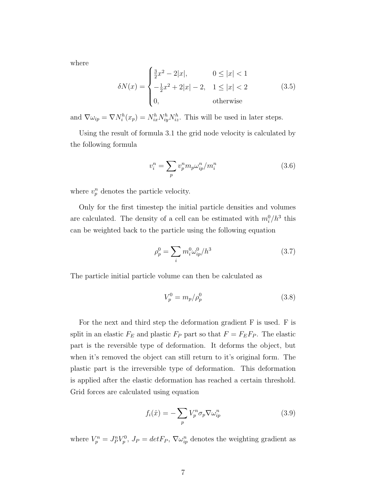where

$$
\delta N(x) = \begin{cases} \frac{3}{2}x^2 - 2|x|, & 0 \le |x| < 1\\ -\frac{1}{2}x^2 + 2|x| - 2, & 1 \le |x| < 2\\ 0, & \text{otherwise} \end{cases}
$$
(3.5)

and  $\nabla \omega_{ip} = \nabla N_i^h(x_p) = N_{ix}^h N_{iy}^h N_{iz}^h$ . This will be used in later steps.

Using the result of formula [3.1](#page-8-1) the grid node velocity is calculated by the following formula

<span id="page-10-1"></span>
$$
v_i^n = \sum_p v_p^n m_p \omega_{ip}^n / m_i^n \tag{3.6}
$$

where  $v_p^n$  denotes the particle velocity.

Only for the first timestep the initial particle densities and volumes are calculated. The density of a cell can be estimated with  $m_i^0/h^3$  this can be weighted back to the particle using the following equation

<span id="page-10-2"></span>
$$
\rho_p^0 = \sum_i m_i^0 \omega_{ip}^0 / h^3 \tag{3.7}
$$

The particle initial particle volume can then be calculated as

<span id="page-10-3"></span>
$$
V_p^0 = m_p / \rho_p^0
$$
 (3.8)

For the next and third step the deformation gradient F is used. F is split in an elastic  $F_E$  and plastic  $F_P$  part so that  $F = F_E F_P$ . The elastic part is the reversible type of deformation. It deforms the object, but when it's removed the object can still return to it's original form. The plastic part is the irreversible type of deformation. This deformation is applied after the elastic deformation has reached a certain threshold. Grid forces are calculated using equation

<span id="page-10-0"></span>
$$
f_i(\hat{x}) = -\sum_p V_p^n \sigma_p \nabla \omega_{ip}^n \tag{3.9}
$$

where  $V_p^n = J_p^n V_p^0$ ,  $J_p = detF_p$ ,  $\nabla \omega_{ip}^n$  denotes the weighting gradient as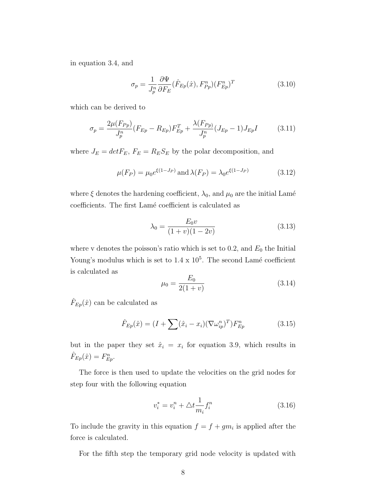in equation [3.4,](#page-9-1) and

<span id="page-11-1"></span><span id="page-11-0"></span>
$$
\sigma_p = \frac{1}{J_p^n} \frac{\partial \Psi}{\partial F_E} (\hat{F}_{Ep}(\hat{x}), F_{Pp}^n) (F_{Ep}^n)^T
$$
\n(3.10)

which can be derived to

$$
\sigma_p = \frac{2\mu(F_{Pp})}{J_p^n} (F_{Ep} - R_{Ep}) F_{Ep}^T + \frac{\lambda(F_{Pp})}{J_p^n} (J_{Ep} - 1) J_{Ep} I \tag{3.11}
$$

where  $J_E = detF_E$ ,  $F_E = R_E S_E$  by the polar decomposition, and

$$
\mu(F_P) = \mu_0 e^{\xi(1 - J_P)} \text{ and } \lambda(F_P) = \lambda_0 e^{\xi(1 - J_P)} \tag{3.12}
$$

where  $\xi$  denotes the hardening coefficient,  $\lambda_0$ , and  $\mu_0$  are the initial Lamé coefficients. The first Lamé coefficient is calculated as

<span id="page-11-2"></span>
$$
\lambda_0 = \frac{E_0 v}{(1+v)(1-2v)}\tag{3.13}
$$

where v denotes the poisson's ratio which is set to 0.2, and  $E_0$  the Initial Young's modulus which is set to  $1.4 \times 10^5$ . The second Lamé coefficient is calculated as

<span id="page-11-3"></span>
$$
\mu_0 = \frac{E_0}{2(1+v)}\tag{3.14}
$$

 $\hat{F}_{Ep}(\hat{x})$  can be calculated as

$$
\hat{F}_{Ep}(\hat{x}) = (I + \sum (\hat{x}_i - x_i)(\nabla \omega_{ip}^n)^T) F_{Ep}^n \tag{3.15}
$$

but in the paper they set  $\hat{x}_i = x_i$  for equation [3.9,](#page-10-0) which results in  $\hat{F}_{Ep}(\hat{x}) = F_{Ep}^n$ .

The force is then used to update the velocities on the grid nodes for step four with the following equation

<span id="page-11-4"></span>
$$
v_i^* = v_i^n + \Delta t \frac{1}{m_i} f_i^n \tag{3.16}
$$

To include the gravity in this equation  $f = f + gm$  is applied after the force is calculated.

For the fifth step the temporary grid node velocity is updated with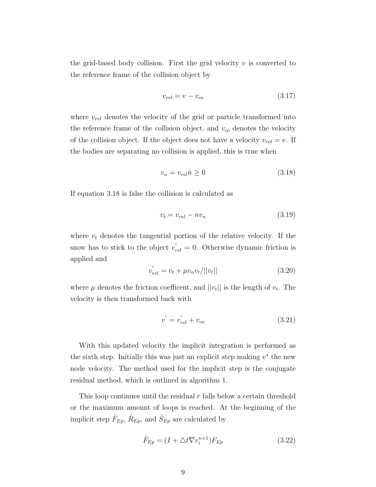the grid-based body collision. First the grid velocity  $v$  is converted to the reference frame of the collision object by

$$
v_{rel} = v - v_{co} \tag{3.17}
$$

where  $v_{rel}$  denotes the velocity of the grid or particle transformed into the reference frame of the collision object, and  $v_{co}$  denotes the velocity of the collision object. If the object does not have a velocity  $v_{rel} = v$ . If the bodies are separating no collision is applied, this is true when

<span id="page-12-0"></span>
$$
v_n = v_{rel}\dot{n} \ge 0\tag{3.18}
$$

If equation [3.18](#page-12-0) is false the collision is calculated as

$$
v_t = v_{rel} - nv_n \tag{3.19}
$$

where  $v_t$  denotes the tangential portion of the relative velocity. If the snow has to stick to the object  $v'_{rel} = 0$ . Otherwise dynamic friction is applied and

$$
v'_{rel} = v_t + \mu v_n v_t / ||v_t|| \tag{3.20}
$$

where  $\mu$  denotes the friction coefficent, and  $||v_t||$  is the length of  $v_t$ . The velocity is then transformed back with

$$
v' = v'_{rel} + v_{co}
$$
 (3.21)

With this updated velocity the implicit integration is performed as the sixth step. Initially this was just an explicit step making  $v^*$  the new node velocity. The method used for the implicit step is the conjugate residual method, which is outlined in algorithm [1.](#page-13-0)

This loop continues until the residual  $r$  falls below a certain threshold or the maximum amount of loops is reached. At the beginning of the implicit step  $\hat{F}_{Ep}$ ,  $\hat{R}_{Ep}$ , and  $\hat{S}_{Ep}$  are calculated by

$$
\hat{F}_{Ep} = (I + \triangle t \nabla v_i^{n+1}) F_{Ep} \tag{3.22}
$$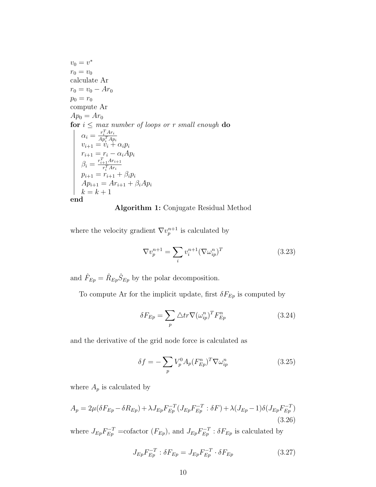$v_0=v^*$  $r_0 = v_0$ calculate Ar  $r_0 = v_0 - Ar_0$  $p_0 = r_0$ compute Ar  $Ap_0 = Ar_0$ **for**  $i \leq$  max number of loops or r small enough **do**  $\alpha_i = \frac{r_i^T A r_i}{A n_i^T A r_i}$  $\alpha_i = \frac{\overline{A p_i^T A p_i}}{p_{i+1} = v_i + \alpha_i p_i}$  $r_{i+1} = r_i - \alpha_i Ap_i$  $\beta_i = \frac{r_{i+1}^T A r_{i+1}}{r^T A r_i}$  $r_i^T A r_i$  $p_{i+1} = r_{i+1} + \beta_i p_i$  $Ap_{i+1} = Ar_{i+1} + \beta_i Ap_i$  $k = k + 1$ end

Algorithm 1: Conjugate Residual Method

<span id="page-13-0"></span>where the velocity gradient  $\nabla v_p^{n+1}$  is calculated by

$$
\nabla v_p^{n+1} = \sum_i v_i^{n+1} (\nabla \omega_{ip}^n)^T
$$
\n(3.23)

and  $\hat{F}_{Ep} = \hat{R}_{Ep} \hat{S}_{Ep}$  by the polar decomposition.

To compute Ar for the implicit update, first  $\delta F_{Ep}$  is computed by

$$
\delta F_{Ep} = \sum_{p} \Delta tr \nabla (\omega_{ip}^{n})^T F_{Ep}^{n} \tag{3.24}
$$

and the derivative of the grid node force is calculated as

$$
\delta f = -\sum_{p} V_p^0 A_p (F_{Ep}^n)^T \nabla \omega_{ip}^n \tag{3.25}
$$

where  $A_p$  is calculated by

$$
A_p = 2\mu(\delta F_{Ep} - \delta R_{Ep}) + \lambda J_{Ep} F_{Ep}^{-T} (J_{Ep} F_{Ep}^{-T} : \delta F) + \lambda (J_{Ep} - 1) \delta (J_{Ep} F_{Ep}^{-T})
$$
\n(3.26)

where  $J_{Ep}F_{Ep}^{-T}$  =cofactor  $(F_{Ep})$ , and  $J_{Ep}F_{Ep}^{-T}$ :  $\delta F_{Ep}$  is calculated by

$$
J_{Ep}F_{Ep}^{-T} : \delta F_{Ep} = J_{Ep}F_{Ep}^{-T} \cdot \delta F_{Ep}
$$
 (3.27)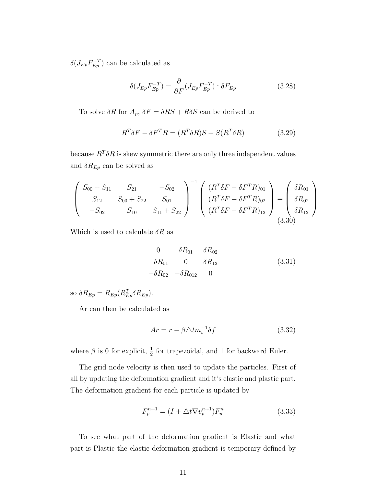$\delta(J_{Ep}F_{Ep}^{-T})$  can be calculated as

$$
\delta(J_{Ep}F_{Ep}^{-T}) = \frac{\partial}{\partial F}(J_{Ep}F_{Ep}^{-T}) : \delta F_{Ep}
$$
\n(3.28)

To solve  $\delta R$  for  $A_p$ ,  $\delta F = \delta RS + R\delta S$  can be derived to

$$
R^T \delta F - \delta F^T R = (R^T \delta R)S + S(R^T \delta R) \tag{3.29}
$$

because  $R^T \delta R$  is skew symmetric there are only three independent values and  $\delta R_{Ep}$  can be solved as

$$
\begin{pmatrix}\nS_{00} + S_{11} & S_{21} & -S_{02} \\
S_{12} & S_{00} + S_{22} & S_{01} \\
-S_{02} & S_{10} & S_{11} + S_{22}\n\end{pmatrix}^{-1}\n\begin{pmatrix}\n(R^T \delta F - \delta F^T R)_{01} \\
(R^T \delta F - \delta F^T R)_{02} \\
(R^T \delta F - \delta F^T R)_{12}\n\end{pmatrix} = \begin{pmatrix}\n\delta R_{01} \\
\delta R_{02} \\
\delta R_{12}\n\end{pmatrix}
$$
\n(3.30)

Which is used to calculate  $\delta R$  as

$$
0 \t \delta R_{01} \t \delta R_{02} - \delta R_{01} \t 0 \t \delta R_{12} - \delta R_{02} \t - \delta R_{012} \t 0
$$
\t(3.31)

so  $\delta R_{Ep} = R_{Ep} (R_{Ep}^T \delta R_{Ep}).$ 

Ar can then be calculated as

$$
Ar = r - \beta \triangle t m_i^{-1} \delta f \tag{3.32}
$$

where  $\beta$  is 0 for explicit,  $\frac{1}{2}$  for trapezoidal, and 1 for backward Euler.

The grid node velocity is then used to update the particles. First of all by updating the deformation gradient and it's elastic and plastic part. The deformation gradient for each particle is updated by

$$
F_p^{n+1} = (I + \Delta t \nabla v_p^{n+1}) F_p^n \tag{3.33}
$$

To see what part of the deformation gradient is Elastic and what part is Plastic the elastic deformation gradient is temporary defined by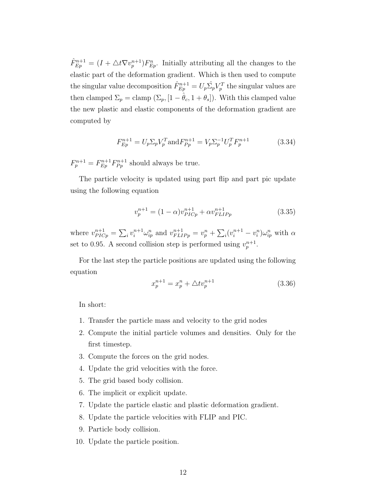$\hat{F}_{Ep}^{n+1} = (I + \triangle t \nabla v_p^{n+1}) F_{Ep}^n$ . Initially attributing all the changes to the elastic part of the deformation gradient. Which is then used to compute the singular value decomposition  $\hat{F}_{Ep}^{n+1} = U_p \hat{\Sigma_p} V_p^T$  the singular values are then clamped  $\Sigma_p =$  clamp  $(\Sigma_p, [1 - \hat{\theta}_c, 1 + \theta_s])$ . With this clamped value the new plastic and elastic components of the deformation gradient are computed by

$$
F_{Ep}^{n+1} = U_p \Sigma_p V_p^T \text{and} F_{Pp}^{n+1} = V_p \Sigma_p^{-1} U_p^T F_p^{n+1}
$$
 (3.34)

 $F_p^{n+1} = F_{Ep}^{n+1} F_{Pp}^{n+1}$  should always be true.

The particle velocity is updated using part flip and part pic update using the following equation

<span id="page-15-0"></span>
$$
v_p^{n+1} = (1 - \alpha)v_{PLCp}^{n+1} + \alpha v_{FLIPp}^{n+1}
$$
 (3.35)

where  $v_{PICp}^{n+1} = \sum_i v_i^{n+1} \omega_{ip}^n$  and  $v_{FLIPp}^{n+1} = v_p^n + \sum_i (v_i^{n+1} - v_i^n) \omega_{ip}^n$  with  $\alpha$ set to 0.95. A second collision step is performed using  $v_p^{n+1}$ .

For the last step the particle positions are updated using the following equation

$$
x_p^{n+1} = x_p^n + \triangle t v_p^{n+1}
$$
\n(3.36)

In short:

- 1. Transfer the particle mass and velocity to the grid nodes
- 2. Compute the initial particle volumes and densities. Only for the first timestep.
- 3. Compute the forces on the grid nodes.
- 4. Update the grid velocities with the force.
- 5. The grid based body collision.
- 6. The implicit or explicit update.
- 7. Update the particle elastic and plastic deformation gradient.
- 8. Update the particle velocities with FLIP and PIC.
- 9. Particle body collision.
- 10. Update the particle position.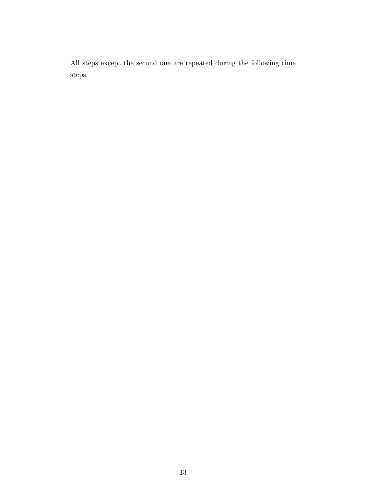All steps except the second one are repeated during the following time steps.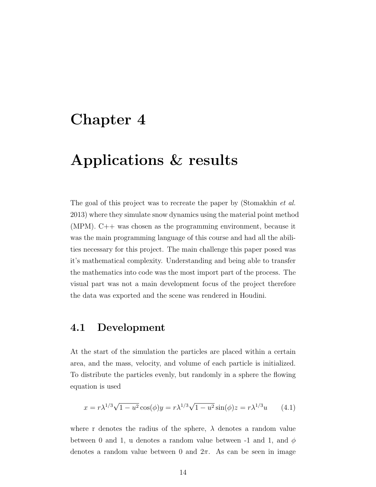### <span id="page-17-0"></span>Chapter 4

# Applications & results

The goal of this project was to recreate the paper by [\(Stomakhin](#page-31-0) *et al.*) [2013\)](#page-31-0) where they simulate snow dynamics using the material point method (MPM). C++ was chosen as the programming environment, because it was the main programming language of this course and had all the abilities necessary for this project. The main challenge this paper posed was it's mathematical complexity. Understanding and being able to transfer the mathematics into code was the most import part of the process. The visual part was not a main development focus of the project therefore the data was exported and the scene was rendered in Houdini.

#### <span id="page-17-1"></span>4.1 Development

At the start of the simulation the particles are placed within a certain area, and the mass, velocity, and volume of each particle is initialized. To distribute the particles evenly, but randomly in a sphere the flowing equation is used

$$
x = r\lambda^{1/3}\sqrt{1 - u^2} \cos(\phi)y = r\lambda^{1/3}\sqrt{1 - u^2} \sin(\phi)z = r\lambda^{1/3}u \qquad (4.1)
$$

where r denotes the radius of the sphere,  $\lambda$  denotes a random value between 0 and 1, u denotes a random value between -1 and 1, and  $\phi$ denotes a random value between 0 and  $2\pi$ . As can be seen in image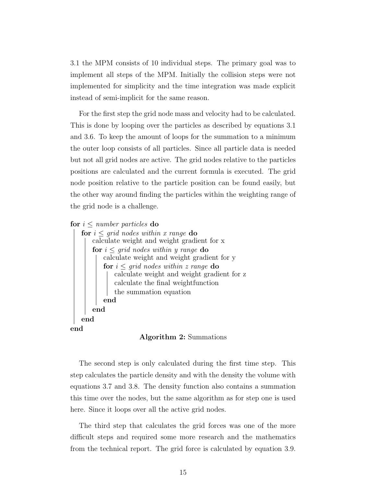[3.1](#page-9-0) the MPM consists of 10 individual steps. The primary goal was to implement all steps of the MPM. Initially the collision steps were not implemented for simplicity and the time integration was made explicit instead of semi-implicit for the same reason.

For the first step the grid node mass and velocity had to be calculated. This is done by looping over the particles as described by equations [3.1](#page-8-1) and [3.6.](#page-10-1) To keep the amount of loops for the summation to a minimum the outer loop consists of all particles. Since all particle data is needed but not all grid nodes are active. The grid nodes relative to the particles positions are calculated and the current formula is executed. The grid node position relative to the particle position can be found easily, but the other way around finding the particles within the weighting range of the grid node is a challenge.

for  $i \leq$  number particles do



Algorithm 2: Summations

<span id="page-18-0"></span>The second step is only calculated during the first time step. This step calculates the particle density and with the density the volume with equations [3.7](#page-10-2) and [3.8.](#page-10-3) The density function also contains a summation this time over the nodes, but the same algorithm as for step one is used here. Since it loops over all the active grid nodes.

The third step that calculates the grid forces was one of the more difficult steps and required some more research and the mathematics from the technical report. The grid force is calculated by equation [3.9.](#page-10-0)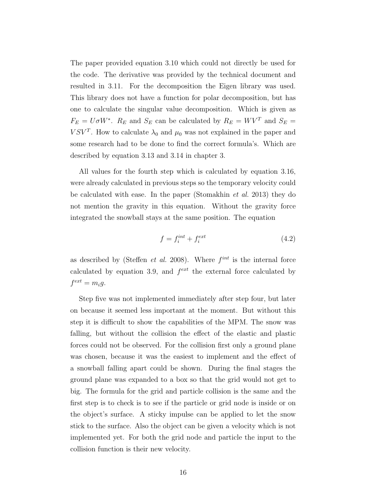The paper provided equation [3.10](#page-11-0) which could not directly be used for the code. The derivative was provided by the technical document and resulted in [3.11.](#page-11-1) For the decomposition the Eigen library was used. This library does not have a function for polar decomposition, but has one to calculate the singular value decomposition. Which is given as  $F_E = U \sigma W^*$ .  $R_E$  and  $S_E$  can be calculated by  $R_E = W V^T$  and  $S_E =$  $VSV<sup>T</sup>$ . How to calculate  $\lambda_0$  and  $\mu_0$  was not explained in the paper and some research had to be done to find the correct formula's. Which are described by equation [3.13](#page-11-2) and [3.14](#page-11-3) in chapter [3.](#page-8-0)

All values for the fourth step which is calculated by equation [3.16,](#page-11-4) were already calculated in previous steps so the temporary velocity could be calculated with ease. In the paper [\(Stomakhin](#page-31-0) et al. [2013\)](#page-31-0) they do not mention the gravity in this equation. Without the gravity force integrated the snowball stays at the same position. The equation

$$
f = f_i^{int} + f_i^{ext} \tag{4.2}
$$

as described by [\(Steffen](#page-30-7) *et al.* [2008\)](#page-30-7). Where  $f^{int}$  is the internal force calculated by equation [3.9,](#page-10-0) and  $f^{ext}$  the external force calculated by  $f^{ext} = m_i g.$ 

Step five was not implemented immediately after step four, but later on because it seemed less important at the moment. But without this step it is difficult to show the capabilities of the MPM. The snow was falling, but without the collision the effect of the elastic and plastic forces could not be observed. For the collision first only a ground plane was chosen, because it was the easiest to implement and the effect of a snowball falling apart could be shown. During the final stages the ground plane was expanded to a box so that the grid would not get to big. The formula for the grid and particle collision is the same and the first step is to check is to see if the particle or grid node is inside or on the object's surface. A sticky impulse can be applied to let the snow stick to the surface. Also the object can be given a velocity which is not implemented yet. For both the grid node and particle the input to the collision function is their new velocity.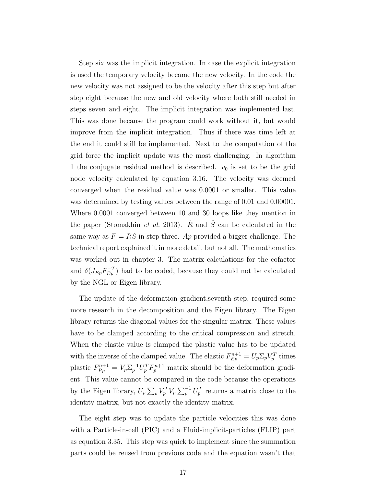Step six was the implicit integration. In case the explicit integration is used the temporary velocity became the new velocity. In the code the new velocity was not assigned to be the velocity after this step but after step eight because the new and old velocity where both still needed in steps seven and eight. The implicit integration was implemented last. This was done because the program could work without it, but would improve from the implicit integration. Thus if there was time left at the end it could still be implemented. Next to the computation of the grid force the implicit update was the most challenging. In algorithm [1](#page-13-0) the conjugate residual method is described.  $v_0$  is set to be the grid node velocity calculated by equation [3.16.](#page-11-4) The velocity was deemed converged when the residual value was 0.0001 or smaller. This value was determined by testing values between the range of 0.01 and 0.00001. Where 0.0001 converged between 10 and 30 loops like they mention in the paper [\(Stomakhin](#page-31-0) et al. [2013\)](#page-31-0).  $\hat{R}$  and  $\hat{S}$  can be calculated in the same way as  $F = RS$  in step three. Ap provided a bigger challenge. The technical report explained it in more detail, but not all. The mathematics was worked out in chapter [3.](#page-8-0) The matrix calculations for the cofactor and  $\delta(J_{Ep}F_{Ep}^{-T})$  had to be coded, because they could not be calculated by the NGL or Eigen library.

The update of the deformation gradient,seventh step, required some more research in the decomposition and the Eigen library. The Eigen library returns the diagonal values for the singular matrix. These values have to be clamped according to the critical compression and stretch. When the elastic value is clamped the plastic value has to be updated with the inverse of the clamped value. The elastic  $F_{Ep}^{n+1} = U_p \Sigma_p V_p^T$  times plastic  $F_{Pp}^{n+1} = V_p \Sigma_p^{-1} U_p^T F_p^{n+1}$  matrix should be the deformation gradient. This value cannot be compared in the code because the operations by the Eigen library,  $U_p \sum_p V_p^T V_p \sum_p^{-1} U_p^T$  returns a matrix close to the identity matrix, but not exactly the identity matrix.

The eight step was to update the particle velocities this was done with a Particle-in-cell (PIC) and a Fluid-implicit-particles (FLIP) part as equation [3.35.](#page-15-0) This step was quick to implement since the summation parts could be reused from previous code and the equation wasn't that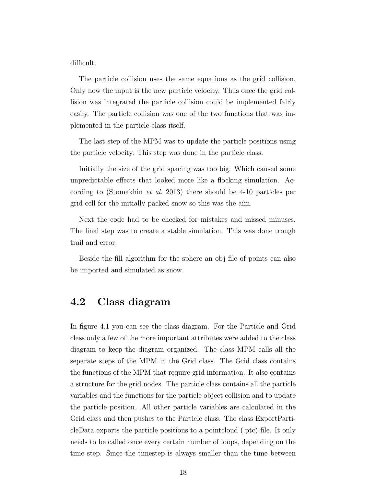difficult.

The particle collision uses the same equations as the grid collision. Only now the input is the new particle velocity. Thus once the grid collision was integrated the particle collision could be implemented fairly easily. The particle collision was one of the two functions that was implemented in the particle class itself.

The last step of the MPM was to update the particle positions using the particle velocity. This step was done in the particle class.

Initially the size of the grid spacing was too big. Which caused some unpredictable effects that looked more like a flocking simulation. According to [\(Stomakhin](#page-31-0) et al. [2013\)](#page-31-0) there should be 4-10 particles per grid cell for the initially packed snow so this was the aim.

Next the code had to be checked for mistakes and missed minuses. The final step was to create a stable simulation. This was done trough trail and error.

Beside the fill algorithm for the sphere an obj file of points can also be imported and simulated as snow.

#### <span id="page-21-0"></span>4.2 Class diagram

In figure [4.1](#page-22-0) you can see the class diagram. For the Particle and Grid class only a few of the more important attributes were added to the class diagram to keep the diagram organized. The class MPM calls all the separate steps of the MPM in the Grid class. The Grid class contains the functions of the MPM that require grid information. It also contains a structure for the grid nodes. The particle class contains all the particle variables and the functions for the particle object collision and to update the particle position. All other particle variables are calculated in the Grid class and then pushes to the Particle class. The class ExportParticleData exports the particle positions to a pointcloud (.ptc) file. It only needs to be called once every certain number of loops, depending on the time step. Since the timestep is always smaller than the time between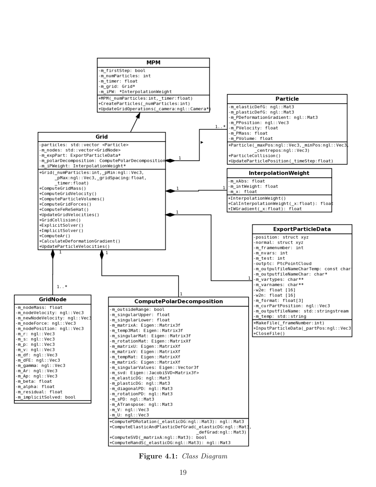<span id="page-22-0"></span>

Figure 4.1: Class Diagram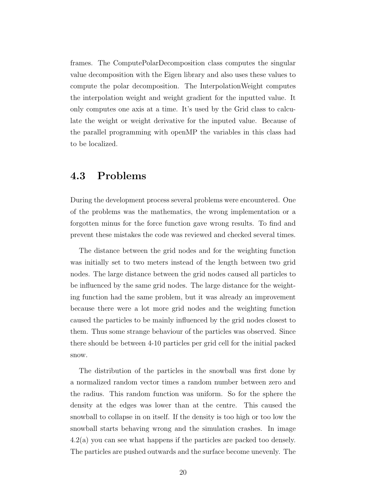frames. The ComputePolarDecomposition class computes the singular value decomposition with the Eigen library and also uses these values to compute the polar decomposition. The InterpolationWeight computes the interpolation weight and weight gradient for the inputted value. It only computes one axis at a time. It's used by the Grid class to calculate the weight or weight derivative for the inputed value. Because of the parallel programming with openMP the variables in this class had to be localized.

#### <span id="page-23-0"></span>4.3 Problems

During the development process several problems were encountered. One of the problems was the mathematics, the wrong implementation or a forgotten minus for the force function gave wrong results. To find and prevent these mistakes the code was reviewed and checked several times.

The distance between the grid nodes and for the weighting function was initially set to two meters instead of the length between two grid nodes. The large distance between the grid nodes caused all particles to be influenced by the same grid nodes. The large distance for the weighting function had the same problem, but it was already an improvement because there were a lot more grid nodes and the weighting function caused the particles to be mainly influenced by the grid nodes closest to them. Thus some strange behaviour of the particles was observed. Since there should be between 4-10 particles per grid cell for the initial packed snow.

The distribution of the particles in the snowball was first done by a normalized random vector times a random number between zero and the radius. This random function was uniform. So for the sphere the density at the edges was lower than at the centre. This caused the snowball to collapse in on itself. If the density is too high or too low the snowball starts behaving wrong and the simulation crashes. In image [4.2\(a\)](#page-24-1) you can see what happens if the particles are packed too densely. The particles are pushed outwards and the surface become unevenly. The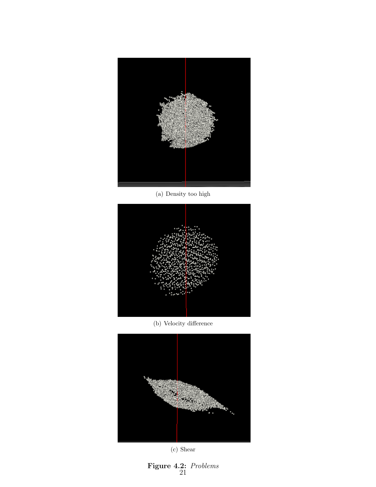<span id="page-24-1"></span><span id="page-24-0"></span>

(a) Density too high



(b) Velocity difference

<span id="page-24-2"></span>

(c) Shear

<span id="page-24-3"></span>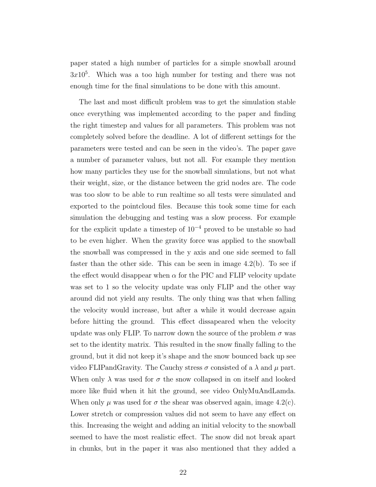paper stated a high number of particles for a simple snowball around  $3x10<sup>5</sup>$ . Which was a too high number for testing and there was not enough time for the final simulations to be done with this amount.

The last and most difficult problem was to get the simulation stable once everything was implemented according to the paper and finding the right timestep and values for all parameters. This problem was not completely solved before the deadline. A lot of different settings for the parameters were tested and can be seen in the video's. The paper gave a number of parameter values, but not all. For example they mention how many particles they use for the snowball simulations, but not what their weight, size, or the distance between the grid nodes are. The code was too slow to be able to run realtime so all tests were simulated and exported to the pointcloud files. Because this took some time for each simulation the debugging and testing was a slow process. For example for the explicit update a timestep of  $10^{-4}$  proved to be unstable so had to be even higher. When the gravity force was applied to the snowball the snowball was compressed in the y axis and one side seemed to fall faster than the other side. This can be seen in image [4.2\(b\).](#page-24-2) To see if the effect would disappear when  $\alpha$  for the PIC and FLIP velocity update was set to 1 so the velocity update was only FLIP and the other way around did not yield any results. The only thing was that when falling the velocity would increase, but after a while it would decrease again before hitting the ground. This effect dissapeared when the velocity update was only FLIP. To narrow down the source of the problem  $\sigma$  was set to the identity matrix. This resulted in the snow finally falling to the ground, but it did not keep it's shape and the snow bounced back up see video FLIP and Gravity. The Cauchy stress  $\sigma$  consisted of a  $\lambda$  and  $\mu$  part. When only  $\lambda$  was used for  $\sigma$  the snow collapsed in on itself and looked more like fluid when it hit the ground, see video OnlyMuAndLamda. When only  $\mu$  was used for  $\sigma$  the shear was observed again, image [4.2\(c\).](#page-24-3) Lower stretch or compression values did not seem to have any effect on this. Increasing the weight and adding an initial velocity to the snowball seemed to have the most realistic effect. The snow did not break apart in chunks, but in the paper it was also mentioned that they added a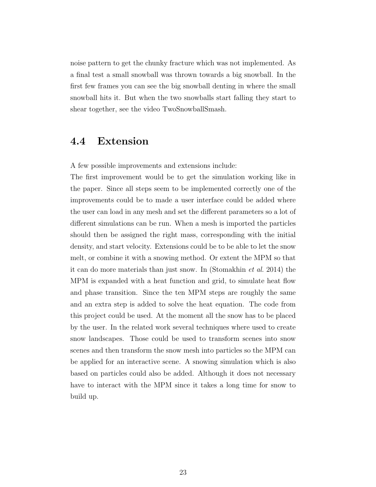noise pattern to get the chunky fracture which was not implemented. As a final test a small snowball was thrown towards a big snowball. In the first few frames you can see the big snowball denting in where the small snowball hits it. But when the two snowballs start falling they start to shear together, see the video TwoSnowballSmash.

#### <span id="page-26-0"></span>4.4 Extension

A few possible improvements and extensions include:

The first improvement would be to get the simulation working like in the paper. Since all steps seem to be implemented correctly one of the improvements could be to made a user interface could be added where the user can load in any mesh and set the different parameters so a lot of different simulations can be run. When a mesh is imported the particles should then be assigned the right mass, corresponding with the initial density, and start velocity. Extensions could be to be able to let the snow melt, or combine it with a snowing method. Or extent the MPM so that it can do more materials than just snow. In [\(Stomakhin](#page-31-3) et al. [2014\)](#page-31-3) the MPM is expanded with a heat function and grid, to simulate heat flow and phase transition. Since the ten MPM steps are roughly the same and an extra step is added to solve the heat equation. The code from this project could be used. At the moment all the snow has to be placed by the user. In the related work several techniques where used to create snow landscapes. Those could be used to transform scenes into snow scenes and then transform the snow mesh into particles so the MPM can be applied for an interactive scene. A snowing simulation which is also based on particles could also be added. Although it does not necessary have to interact with the MPM since it takes a long time for snow to build up.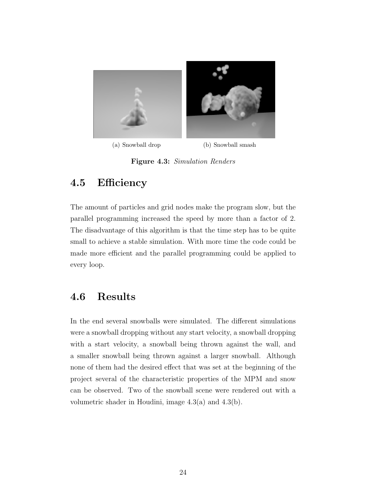<span id="page-27-3"></span><span id="page-27-2"></span>

(a) Snowball drop (b) Snowball smash

<span id="page-27-4"></span>Figure 4.3: Simulation Renders

### <span id="page-27-0"></span>4.5 Efficiency

The amount of particles and grid nodes make the program slow, but the parallel programming increased the speed by more than a factor of 2. The disadvantage of this algorithm is that the time step has to be quite small to achieve a stable simulation. With more time the code could be made more efficient and the parallel programming could be applied to every loop.

#### <span id="page-27-1"></span>4.6 Results

In the end several snowballs were simulated. The different simulations were a snowball dropping without any start velocity, a snowball dropping with a start velocity, a snowball being thrown against the wall, and a smaller snowball being thrown against a larger snowball. Although none of them had the desired effect that was set at the beginning of the project several of the characteristic properties of the MPM and snow can be observed. Two of the snowball scene were rendered out with a volumetric shader in Houdini, image [4.3\(a\)](#page-27-3) and [4.3\(b\).](#page-27-4)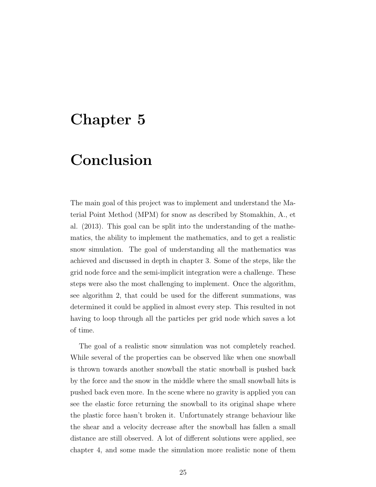### <span id="page-28-0"></span>Chapter 5

# Conclusion

The main goal of this project was to implement and understand the Material Point Method (MPM) for snow as described by Stomakhin, A., et al. (2013). This goal can be split into the understanding of the mathematics, the ability to implement the mathematics, and to get a realistic snow simulation. The goal of understanding all the mathematics was achieved and discussed in depth in chapter [3.](#page-8-0) Some of the steps, like the grid node force and the semi-implicit integration were a challenge. These steps were also the most challenging to implement. Once the algorithm, see algorithm [2,](#page-18-0) that could be used for the different summations, was determined it could be applied in almost every step. This resulted in not having to loop through all the particles per grid node which saves a lot of time.

The goal of a realistic snow simulation was not completely reached. While several of the properties can be observed like when one snowball is thrown towards another snowball the static snowball is pushed back by the force and the snow in the middle where the small snowball hits is pushed back even more. In the scene where no gravity is applied you can see the elastic force returning the snowball to its original shape where the plastic force hasn't broken it. Unfortunately strange behaviour like the shear and a velocity decrease after the snowball has fallen a small distance are still observed. A lot of different solutions were applied, see chapter [4,](#page-17-0) and some made the simulation more realistic none of them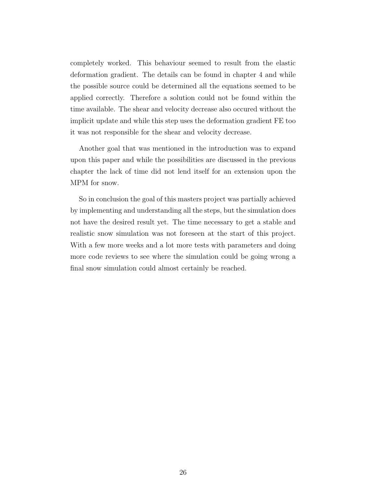completely worked. This behaviour seemed to result from the elastic deformation gradient. The details can be found in chapter [4](#page-17-0) and while the possible source could be determined all the equations seemed to be applied correctly. Therefore a solution could not be found within the time available. The shear and velocity decrease also occured without the implicit update and while this step uses the deformation gradient FE too it was not responsible for the shear and velocity decrease.

Another goal that was mentioned in the introduction was to expand upon this paper and while the possibilities are discussed in the previous chapter the lack of time did not lend itself for an extension upon the MPM for snow.

So in conclusion the goal of this masters project was partially achieved by implementing and understanding all the steps, but the simulation does not have the desired result yet. The time necessary to get a stable and realistic snow simulation was not foreseen at the start of this project. With a few more weeks and a lot more tests with parameters and doing more code reviews to see where the simulation could be going wrong a final snow simulation could almost certainly be reached.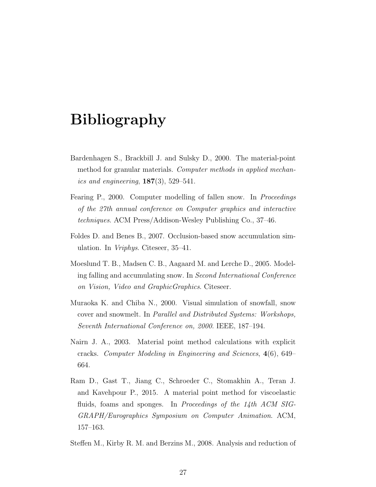### Bibliography

- <span id="page-30-5"></span>Bardenhagen S., Brackbill J. and Sulsky D., 2000. The material-point method for granular materials. Computer methods in applied mechanics and engineering,  $187(3)$ , 529–541.
- <span id="page-30-1"></span>Fearing P., 2000. Computer modelling of fallen snow. In *Proceedings* of the 27th annual conference on Computer graphics and interactive techniques. ACM Press/Addison-Wesley Publishing Co., 37–46.
- <span id="page-30-2"></span>Foldes D. and Benes B., 2007. Occlusion-based snow accumulation simulation. In Vriphys. Citeseer, 35–41.
- <span id="page-30-3"></span>Moeslund T. B., Madsen C. B., Aagaard M. and Lerche D., 2005. Modeling falling and accumulating snow. In Second International Conference on Vision, Video and GraphicGraphics. Citeseer.
- <span id="page-30-0"></span>Muraoka K. and Chiba N., 2000. Visual simulation of snowfall, snow cover and snowmelt. In Parallel and Distributed Systems: Workshops, Seventh International Conference on, 2000. IEEE, 187–194.
- <span id="page-30-6"></span>Nairn J. A., 2003. Material point method calculations with explicit cracks. Computer Modeling in Engineering and Sciences, 4(6), 649– 664.
- <span id="page-30-4"></span>Ram D., Gast T., Jiang C., Schroeder C., Stomakhin A., Teran J. and Kavehpour P., 2015. A material point method for viscoelastic fluids, foams and sponges. In Proceedings of the 14th ACM SIG-GRAPH/Eurographics Symposium on Computer Animation. ACM, 157–163.
- <span id="page-30-7"></span>Steffen M., Kirby R. M. and Berzins M., 2008. Analysis and reduction of